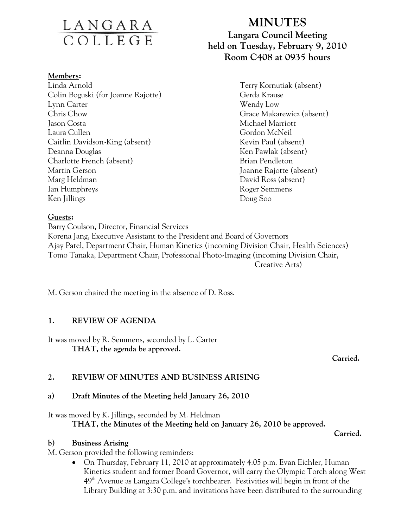# <u>LANGARA</u><br>COLLEGE

#### **Members:**

Linda Arnold Terry Kornutiak (absent) Colin Boguski (for Joanne Rajotte) Gerda Krause Lynn Carter Wendy Low Chris Chow Grace Makarewicz (absent) Jason Costa Michael Marriott Laura Cullen Gordon McNeil Caitlin Davidson-King (absent) Kevin Paul (absent) Deanna Douglas Ken Pawlak (absent) Charlotte French (absent) Brian Pendleton Martin Gerson Joanne Rajotte (absent) Marg Heldman David Ross (absent) Ian Humphreys Roger Semmens Ken Jillings Doug Soo

## **MINUTES**

## **Langara Council Meeting held on Tuesday, February 9, 2010 Room C408 at 0935 hours**

#### **Guests:**

Barry Coulson, Director, Financial Services Korena Jang, Executive Assistant to the President and Board of Governors Ajay Patel, Department Chair, Human Kinetics (incoming Division Chair, Health Sciences) Tomo Tanaka, Department Chair, Professional Photo-Imaging (incoming Division Chair, Creative Arts)

M. Gerson chaired the meeting in the absence of D. Ross.

#### **1. REVIEW OF AGENDA**

It was moved by R. Semmens, seconded by L. Carter  **THAT, the agenda be approved.** 

*Carried. Carried.* 

#### **2. REVIEW OF MINUTES AND BUSINESS ARISING**

## **a) Draft Minutes of the Meeting held January 26, 2010**

## It was moved by K. Jillings, seconded by M. Heldman  **THAT, the Minutes of the Meeting held on January 26, 2010 be approved.**

 **Carried.** 

## **b) Business Arising**

M. Gerson provided the following reminders:

• On Thursday, February 11, 2010 at approximately 4:05 p.m. Evan Eichler, Human Kinetics student and former Board Governor, will carry the Olympic Torch along West  $49<sup>th</sup>$  Avenue as Langara College's torchbearer. Festivities will begin in front of the Library Building at 3:30 p.m. and invitations have been distributed to the surrounding